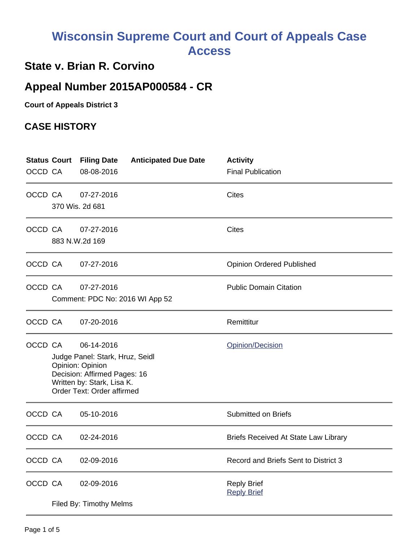# **Wisconsin Supreme Court and Court of Appeals Case Access**

## **State v. Brian R. Corvino**

## **Appeal Number 2015AP000584 - CR**

**Court of Appeals District 3**

### **CASE HISTORY**

| OCCD CA | <b>Status Court</b>                                                                                                                                                      | <b>Filing Date</b><br>08-08-2016              | <b>Anticipated Due Date</b> | <b>Activity</b><br><b>Final Publication</b> |
|---------|--------------------------------------------------------------------------------------------------------------------------------------------------------------------------|-----------------------------------------------|-----------------------------|---------------------------------------------|
| OCCD CA |                                                                                                                                                                          | 07-27-2016<br>370 Wis. 2d 681                 |                             | Cites                                       |
|         | OCCD CA                                                                                                                                                                  | 07-27-2016<br>883 N.W.2d 169                  |                             | <b>Cites</b>                                |
|         | OCCD CA                                                                                                                                                                  | 07-27-2016                                    |                             | <b>Opinion Ordered Published</b>            |
|         | OCCD CA                                                                                                                                                                  | 07-27-2016<br>Comment: PDC No: 2016 WI App 52 |                             | <b>Public Domain Citation</b>               |
|         | OCCD CA                                                                                                                                                                  | 07-20-2016                                    |                             | Remittitur                                  |
|         | OCCD CA<br>06-14-2016<br>Judge Panel: Stark, Hruz, Seidl<br>Opinion: Opinion<br>Decision: Affirmed Pages: 16<br>Written by: Stark, Lisa K.<br>Order Text: Order affirmed |                                               |                             | Opinion/Decision                            |
| OCCD CA |                                                                                                                                                                          | 05-10-2016                                    |                             | <b>Submitted on Briefs</b>                  |
| OCCD CA |                                                                                                                                                                          | 02-24-2016                                    |                             | <b>Briefs Received At State Law Library</b> |
| OCCD CA |                                                                                                                                                                          | 02-09-2016                                    |                             | Record and Briefs Sent to District 3        |
| OCCD CA |                                                                                                                                                                          | 02-09-2016<br>Filed By: Timothy Melms         |                             | <b>Reply Brief</b><br><b>Reply Brief</b>    |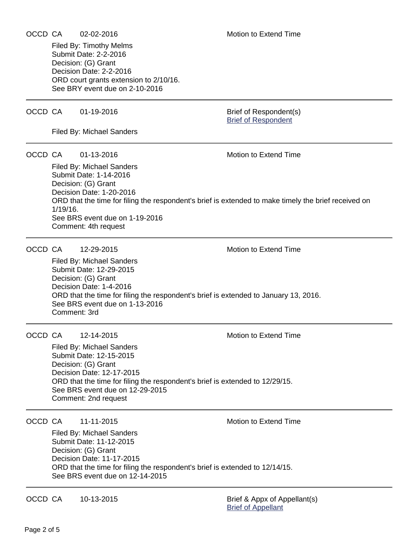#### OCCD CA 02-02-2016 Motion to Extend Time

Submit Date: 2-2-2016 Decision: (G) Grant Decision Date: 2-2-2016 ORD court grants extension to 2/10/16. See BRY event due on 2-10-2016

#### OCCD CA 01-19-2016 Brief of Respondent(s)

Filed By: Michael Sanders

Filed By: Timothy Melms

#### OCCD CA  $01-13-2016$  Motion to Extend Time

Filed By: Michael Sanders Submit Date: 1-14-2016 Decision: (G) Grant Decision Date: 1-20-2016 ORD that the time for filing the respondent's brief is extended to make timely the brief received on 1/19/16. See BRS event due on 1-19-2016 Comment: 4th request

#### OCCD CA 12-29-2015 Motion to Extend Time

Filed By: Michael Sanders Submit Date: 12-29-2015 Decision: (G) Grant Decision Date: 1-4-2016 ORD that the time for filing the respondent's brief is extended to January 13, 2016. See BRS event due on 1-13-2016 Comment: 3rd

#### OCCD CA 12-14-2015 Motion to Extend Time

Filed By: Michael Sanders Submit Date: 12-15-2015 Decision: (G) Grant Decision Date: 12-17-2015 ORD that the time for filing the respondent's brief is extended to 12/29/15. See BRS event due on 12-29-2015 Comment: 2nd request

OCCD CA 11-11-2015 Motion to Extend Time

Filed By: Michael Sanders Submit Date: 11-12-2015 Decision: (G) Grant Decision Date: 11-17-2015 ORD that the time for filing the respondent's brief is extended to 12/14/15. See BRS event due on 12-14-2015

OCCD CA 10-13-2015 Brief & Appx of Appellant(s)

[Brief of Appellant](https://acefiling.wicourts.gov/document/eFiled/2015AP000584/150820)

[Brief of Respondent](https://acefiling.wicourts.gov/document/eFiled/2015AP000584/160068)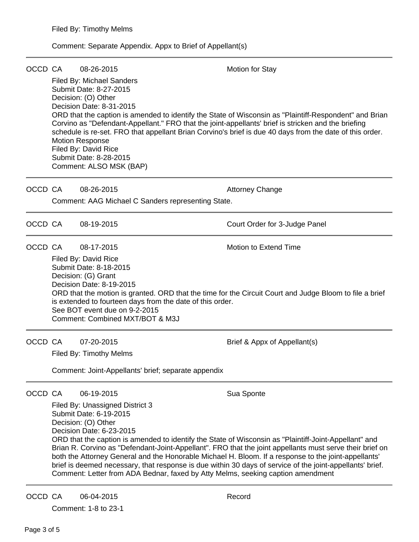### Comment: Separate Appendix. Appx to Brief of Appellant(s)

| OCCD CA |                                                                                                                                                                                                                                                                                                                                                                                                                                                                                                                                                                                                                                                                       | 08-26-2015<br>Filed By: Michael Sanders<br>Submit Date: 8-27-2015<br>Decision: (O) Other<br>Decision Date: 8-31-2015<br>Corvino as "Defendant-Appellant." FRO that the joint-appellants' brief is stricken and the briefing<br><b>Motion Response</b><br>Filed By: David Rice<br>Submit Date: 8-28-2015<br>Comment: ALSO MSK (BAP) | <b>Motion for Stay</b><br>ORD that the caption is amended to identify the State of Wisconsin as "Plaintiff-Respondent" and Brian<br>schedule is re-set. FRO that appellant Brian Corvino's brief is due 40 days from the date of this order. |  |  |
|---------|-----------------------------------------------------------------------------------------------------------------------------------------------------------------------------------------------------------------------------------------------------------------------------------------------------------------------------------------------------------------------------------------------------------------------------------------------------------------------------------------------------------------------------------------------------------------------------------------------------------------------------------------------------------------------|------------------------------------------------------------------------------------------------------------------------------------------------------------------------------------------------------------------------------------------------------------------------------------------------------------------------------------|----------------------------------------------------------------------------------------------------------------------------------------------------------------------------------------------------------------------------------------------|--|--|
| OCCD CA |                                                                                                                                                                                                                                                                                                                                                                                                                                                                                                                                                                                                                                                                       | 08-26-2015<br>Comment: AAG Michael C Sanders representing State.                                                                                                                                                                                                                                                                   | <b>Attorney Change</b>                                                                                                                                                                                                                       |  |  |
| OCCD CA |                                                                                                                                                                                                                                                                                                                                                                                                                                                                                                                                                                                                                                                                       | 08-19-2015                                                                                                                                                                                                                                                                                                                         | Court Order for 3-Judge Panel                                                                                                                                                                                                                |  |  |
| OCCD CA | 08-17-2015<br>Motion to Extend Time<br>Filed By: David Rice<br>Submit Date: 8-18-2015<br>Decision: (G) Grant<br>Decision Date: 8-19-2015<br>ORD that the motion is granted. ORD that the time for the Circuit Court and Judge Bloom to file a brief<br>is extended to fourteen days from the date of this order.<br>See BOT event due on 9-2-2015<br>Comment: Combined MXT/BOT & M3J                                                                                                                                                                                                                                                                                  |                                                                                                                                                                                                                                                                                                                                    |                                                                                                                                                                                                                                              |  |  |
| OCCD CA |                                                                                                                                                                                                                                                                                                                                                                                                                                                                                                                                                                                                                                                                       | 07-20-2015<br>Filed By: Timothy Melms<br>Comment: Joint-Appellants' brief; separate appendix                                                                                                                                                                                                                                       | Brief & Appx of Appellant(s)                                                                                                                                                                                                                 |  |  |
| OCCD CA | 06-19-2015<br>Sua Sponte<br>Filed By: Unassigned District 3<br>Submit Date: 6-19-2015<br>Decision: (O) Other<br>Decision Date: 6-23-2015<br>ORD that the caption is amended to identify the State of Wisconsin as "Plaintiff-Joint-Appellant" and<br>Brian R. Corvino as "Defendant-Joint-Appellant". FRO that the joint appellants must serve their brief on<br>both the Attorney General and the Honorable Michael H. Bloom. If a response to the joint-appellants'<br>brief is deemed necessary, that response is due within 30 days of service of the joint-appellants' brief.<br>Comment: Letter from ADA Bednar, faxed by Atty Melms, seeking caption amendment |                                                                                                                                                                                                                                                                                                                                    |                                                                                                                                                                                                                                              |  |  |
| OCCD CA |                                                                                                                                                                                                                                                                                                                                                                                                                                                                                                                                                                                                                                                                       | 06-04-2015                                                                                                                                                                                                                                                                                                                         | Record                                                                                                                                                                                                                                       |  |  |

Comment: 1-8 to 23-1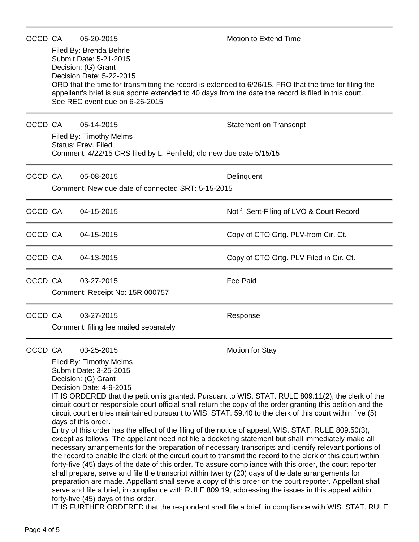| OCCD CA |                                                                                                                                                                                                                                                                                                                                                                                                                                                                                                                                                                                                                                                                                                                                                                                                                                                                                                                                                                                                                                                                                                                                                                                                                                                                                                                                                                                                                                                                                      | 05-20-2015                                          | Motion to Extend Time                    |  |  |  |
|---------|--------------------------------------------------------------------------------------------------------------------------------------------------------------------------------------------------------------------------------------------------------------------------------------------------------------------------------------------------------------------------------------------------------------------------------------------------------------------------------------------------------------------------------------------------------------------------------------------------------------------------------------------------------------------------------------------------------------------------------------------------------------------------------------------------------------------------------------------------------------------------------------------------------------------------------------------------------------------------------------------------------------------------------------------------------------------------------------------------------------------------------------------------------------------------------------------------------------------------------------------------------------------------------------------------------------------------------------------------------------------------------------------------------------------------------------------------------------------------------------|-----------------------------------------------------|------------------------------------------|--|--|--|
|         | Filed By: Brenda Behrle<br>Submit Date: 5-21-2015<br>Decision: (G) Grant<br>Decision Date: 5-22-2015<br>ORD that the time for transmitting the record is extended to 6/26/15. FRO that the time for filing the<br>appellant's brief is sua sponte extended to 40 days from the date the record is filed in this court.<br>See REC event due on 6-26-2015                                                                                                                                                                                                                                                                                                                                                                                                                                                                                                                                                                                                                                                                                                                                                                                                                                                                                                                                                                                                                                                                                                                             |                                                     |                                          |  |  |  |
| OCCD CA |                                                                                                                                                                                                                                                                                                                                                                                                                                                                                                                                                                                                                                                                                                                                                                                                                                                                                                                                                                                                                                                                                                                                                                                                                                                                                                                                                                                                                                                                                      | 05-14-2015                                          | <b>Statement on Transcript</b>           |  |  |  |
|         | Filed By: Timothy Melms<br><b>Status: Prev. Filed</b><br>Comment: 4/22/15 CRS filed by L. Penfield; dlq new due date 5/15/15                                                                                                                                                                                                                                                                                                                                                                                                                                                                                                                                                                                                                                                                                                                                                                                                                                                                                                                                                                                                                                                                                                                                                                                                                                                                                                                                                         |                                                     |                                          |  |  |  |
| OCCD CA |                                                                                                                                                                                                                                                                                                                                                                                                                                                                                                                                                                                                                                                                                                                                                                                                                                                                                                                                                                                                                                                                                                                                                                                                                                                                                                                                                                                                                                                                                      | 05-08-2015                                          | Delinquent                               |  |  |  |
|         | Comment: New due date of connected SRT: 5-15-2015                                                                                                                                                                                                                                                                                                                                                                                                                                                                                                                                                                                                                                                                                                                                                                                                                                                                                                                                                                                                                                                                                                                                                                                                                                                                                                                                                                                                                                    |                                                     |                                          |  |  |  |
| OCCD CA |                                                                                                                                                                                                                                                                                                                                                                                                                                                                                                                                                                                                                                                                                                                                                                                                                                                                                                                                                                                                                                                                                                                                                                                                                                                                                                                                                                                                                                                                                      | 04-15-2015                                          | Notif. Sent-Filing of LVO & Court Record |  |  |  |
| OCCD CA |                                                                                                                                                                                                                                                                                                                                                                                                                                                                                                                                                                                                                                                                                                                                                                                                                                                                                                                                                                                                                                                                                                                                                                                                                                                                                                                                                                                                                                                                                      | 04-15-2015                                          | Copy of CTO Grtg. PLV-from Cir. Ct.      |  |  |  |
| OCCD CA |                                                                                                                                                                                                                                                                                                                                                                                                                                                                                                                                                                                                                                                                                                                                                                                                                                                                                                                                                                                                                                                                                                                                                                                                                                                                                                                                                                                                                                                                                      | 04-13-2015                                          | Copy of CTO Grtg. PLV Filed in Cir. Ct.  |  |  |  |
| OCCD CA |                                                                                                                                                                                                                                                                                                                                                                                                                                                                                                                                                                                                                                                                                                                                                                                                                                                                                                                                                                                                                                                                                                                                                                                                                                                                                                                                                                                                                                                                                      | 03-27-2015                                          | <b>Fee Paid</b>                          |  |  |  |
|         | Comment: Receipt No: 15R 000757                                                                                                                                                                                                                                                                                                                                                                                                                                                                                                                                                                                                                                                                                                                                                                                                                                                                                                                                                                                                                                                                                                                                                                                                                                                                                                                                                                                                                                                      |                                                     |                                          |  |  |  |
| OCCD CA |                                                                                                                                                                                                                                                                                                                                                                                                                                                                                                                                                                                                                                                                                                                                                                                                                                                                                                                                                                                                                                                                                                                                                                                                                                                                                                                                                                                                                                                                                      | 03-27-2015<br>Comment: filing fee mailed separately | Response                                 |  |  |  |
| OCCD CA |                                                                                                                                                                                                                                                                                                                                                                                                                                                                                                                                                                                                                                                                                                                                                                                                                                                                                                                                                                                                                                                                                                                                                                                                                                                                                                                                                                                                                                                                                      | 03-25-2015                                          | Motion for Stay                          |  |  |  |
|         | Filed By: Timothy Melms<br>Submit Date: 3-25-2015<br>Decision: (G) Grant<br>Decision Date: 4-9-2015<br>IT IS ORDERED that the petition is granted. Pursuant to WIS. STAT. RULE 809.11(2), the clerk of the<br>circuit court or responsible court official shall return the copy of the order granting this petition and the<br>circuit court entries maintained pursuant to WIS. STAT. 59.40 to the clerk of this court within five (5)<br>days of this order.<br>Entry of this order has the effect of the filing of the notice of appeal, WIS. STAT. RULE 809.50(3),<br>except as follows: The appellant need not file a docketing statement but shall immediately make all<br>necessary arrangements for the preparation of necessary transcripts and identify relevant portions of<br>the record to enable the clerk of the circuit court to transmit the record to the clerk of this court within<br>forty-five (45) days of the date of this order. To assure compliance with this order, the court reporter<br>shall prepare, serve and file the transcript within twenty (20) days of the date arrangements for<br>preparation are made. Appellant shall serve a copy of this order on the court reporter. Appellant shall<br>serve and file a brief, in compliance with RULE 809.19, addressing the issues in this appeal within<br>forty-five (45) days of this order.<br>IT IS FURTHER ORDERED that the respondent shall file a brief, in compliance with WIS. STAT. RULE |                                                     |                                          |  |  |  |